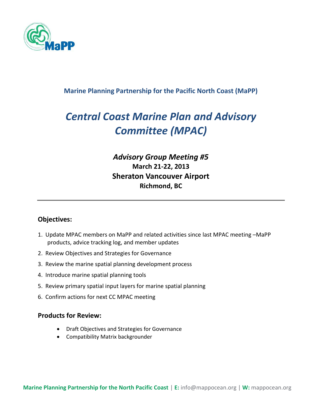

### **Marine Planning Partnership for the Pacific North Coast (MaPP)**

# *Central Coast Marine Plan and Advisory Committee (MPAC)*

### *Advisory Group Meeting #5* **March 21-22, 2013 Sheraton Vancouver Airport Richmond, BC**

#### **Objectives:**

- 1. Update MPAC members on MaPP and related activities since last MPAC meeting –MaPP products, advice tracking log, and member updates
- 2. Review Objectives and Strategies for Governance
- 3. Review the marine spatial planning development process
- 4. Introduce marine spatial planning tools
- 5. Review primary spatial input layers for marine spatial planning
- 6. Confirm actions for next CC MPAC meeting

#### **Products for Review:**

- Draft Objectives and Strategies for Governance
- Compatibility Matrix backgrounder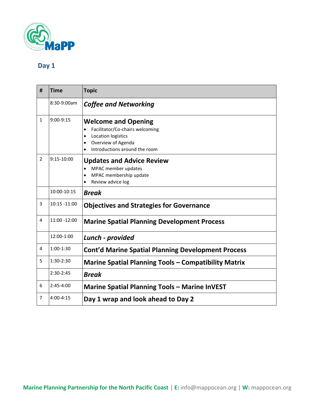

### **Day 1**

| # | <b>Time</b>   | <b>Topic</b>                                                                                                                                                                      |
|---|---------------|-----------------------------------------------------------------------------------------------------------------------------------------------------------------------------------|
|   | 8:30-9:00am   | <b>Coffee and Networking</b>                                                                                                                                                      |
| 1 | $9:00-9:15$   | <b>Welcome and Opening</b><br>Facilitator/Co-chairs welcoming<br>$\bullet$<br>Location logistics<br>$\bullet$<br>Overview of Agenda<br>$\bullet$<br>Introductions around the room |
| 2 | 9:15-10:00    | <b>Updates and Advice Review</b><br>MPAC member updates<br>$\bullet$<br>MPAC membership update<br>Review advice log                                                               |
|   | 10:00-10:15   | <b>Break</b>                                                                                                                                                                      |
| 3 | 10:15 -11:00  | <b>Objectives and Strategies for Governance</b>                                                                                                                                   |
| 4 | 11:00 -12:00  | <b>Marine Spatial Planning Development Process</b>                                                                                                                                |
|   | 12:00-1:00    | Lunch - provided                                                                                                                                                                  |
| 4 | $1:00-1:30$   | <b>Cont'd Marine Spatial Planning Development Process</b>                                                                                                                         |
| 5 | 1:30-2:30     | <b>Marine Spatial Planning Tools - Compatibility Matrix</b>                                                                                                                       |
|   | $2:30-2:45$   | <b>Break</b>                                                                                                                                                                      |
| 6 | $2:45-4:00$   | <b>Marine Spatial Planning Tools - Marine InVEST</b>                                                                                                                              |
| 7 | $4:00 - 4:15$ | Day 1 wrap and look ahead to Day 2                                                                                                                                                |